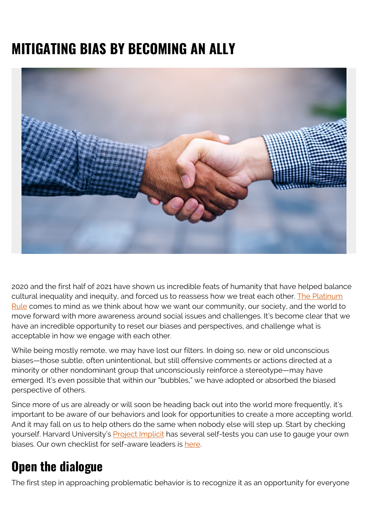# **MITIGATING BIAS BY BECOMING AN ALLY**



2020 and the first half of 2021 have shown us incredible feats of humanity that have helped balance cultural inequality and inequity, and forced us to reassess how we treat each other. [The Platinum](https://www.whatisdialogue.com/platinum-rule/) [Rule](https://www.whatisdialogue.com/platinum-rule/) comes to mind as we think about how we want our community, our society, and the world to move forward with more awareness around social issues and challenges. It's become clear that we have an incredible opportunity to reset our biases and perspectives, and challenge what is acceptable in how we engage with each other.

While being mostly remote, we may have lost our filters. In doing so, new or old unconscious biases—those subtle, often unintentional, but still offensive comments or actions directed at a minority or other nondominant group that unconsciously reinforce a stereotype—may have emerged. It's even possible that within our "bubbles," we have adopted or absorbed the biased perspective of others.

Since more of us are already or will soon be heading back out into the world more frequently, it's important to be aware of our behaviors and look for opportunities to create a more accepting world. And it may fall on us to help others do the same when nobody else will step up. Start by checking yourself. Harvard University's [Project Implicit](https://implicit.harvard.edu/implicit/index.jsp) has several self-tests you can use to gauge your own biases. Our own checklist for self-aware leaders is [here](https://blogs.bmc.com/wp-content/uploads/2021/08/Checklist_Self-AwareLeaders.pdf).

## **Open the dialogue**

The first step in approaching problematic behavior is to recognize it as an opportunity for everyone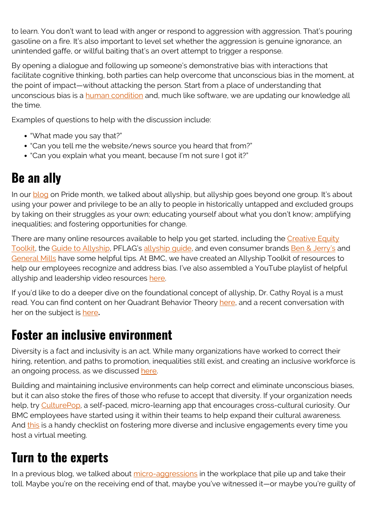to learn. You don't want to lead with anger or respond to aggression with aggression. That's pouring gasoline on a fire. It's also important to level set whether the aggression is genuine ignorance, an unintended gaffe, or willful baiting that's an overt attempt to trigger a response.

By opening a dialogue and following up someone's demonstrative bias with interactions that facilitate cognitive thinking, both parties can help overcome that unconscious bias in the moment, at the point of impact—without attacking the person. Start from a place of understanding that unconscious bias is a **human condition** and, much like software, we are updating our knowledge all the time.

Examples of questions to help with the discussion include:

- "What made you say that?"
- "Can you tell me the website/news source you heard that from?"
- "Can you explain what you meant, because I'm not sure I got it?"

#### **Be an ally**

In our **blog** on Pride month, we talked about allyship, but allyship goes beyond one group. It's about using your power and privilege to be an ally to people in historically untapped and excluded groups by taking on their struggles as your own; educating yourself about what you don't know; amplifying inequalities; and fostering opportunities for change.

There are many online resources available to help you get started, including the [Creative Equity](https://creativeequitytoolkit.org/topic/anti-racism/be-an-ally/) [Toolkit,](https://creativeequitytoolkit.org/topic/anti-racism/be-an-ally/) the [Guide to Allyship,](https://guidetoallyship.com/) PFLAG's [allyship guide,](https://pflag.org/sites/default/files/2020-Straight%20Ally%20Guide%20Revised.pdf) and even consumer brands [Ben & Jerry's](https://www.benjerry.com/whats-new/2016/be-an-ally) and [General Mills](https://www.generalmills.com/) have some helpful tips. At BMC, we have created an Allyship Toolkit of resources to help our employees recognize and address bias. I've also assembled a YouTube playlist of helpful allyship and leadership video resources [here.](https://www.youtube.com/playlist?list=PLGTSjGSxXaOnLZdhfxgKq9ViymxI-fvnR)

If you'd like to do a deeper dive on the foundational concept of allyship, Dr. Cathy Royal is a must read. You can find content on her Quadrant Behavior Theory [here,](https://scholar.google.com/scholar?hl=en&as_sdt=0%2C44&q=%22quadrant+behavior+theory%22&btnG=) and a recent conversation with her on the subject is [here](https://www.youtube.com/watch?v=6YXkYjOjLRU)**.**

#### **Foster an inclusive environment**

Diversity is a fact and inclusivity is an act. While many organizations have worked to correct their hiring, retention, and paths to promotion, inequalities still exist, and creating an inclusive workforce is an ongoing process, as we discussed [here](https://blogs.bmc.com/blogs/inclusion-is-better-for-business/).

Building and maintaining inclusive environments can help correct and eliminate unconscious biases, but it can also stoke the fires of those who refuse to accept that diversity. If your organization needs help, try [CulturePop](https://culturepop.com/), a self-paced, micro-learning app that encourages cross-cultural curiosity. Our BMC employees have started using it within their teams to help expand their cultural awareness. And [this](https://s7280.pcdn.co/wp-content/uploads/2021/02/Checklist-for-inclusive-meetings.pdf) is a handy checklist on fostering more diverse and inclusive engagements every time you host a virtual meeting.

# **Turn to the experts**

In a previous blog, we talked about [micro-aggressions](https://blogs.bmc.com/blogs/2021-remote-work-considerations/) in the workplace that pile up and take their toll. Maybe you're on the receiving end of that, maybe you've witnessed it—or maybe you're guilty of